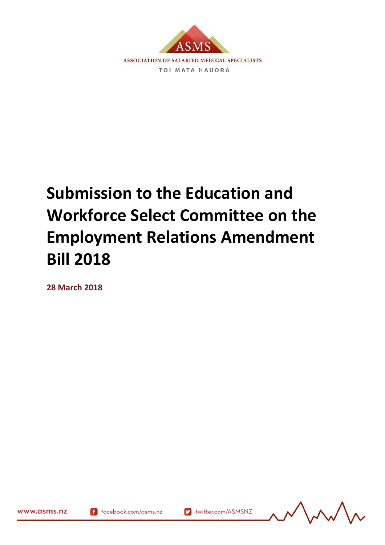

# **Submission to the Education and Workforce Select Committee on the Employment Relations Amendment Bill 2018**

**28 March 2018**

www.asms.nz

(10/1/1) 169461.10

f facebook.com/asms.nz

v twitter.com/ASMSNZ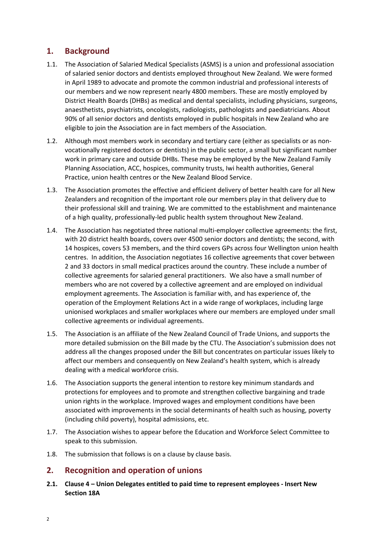# **1. Background**

- 1.1. The Association of Salaried Medical Specialists (ASMS) is a union and professional association of salaried senior doctors and dentists employed throughout New Zealand. We were formed in April 1989 to advocate and promote the common industrial and professional interests of our members and we now represent nearly 4800 members. These are mostly employed by District Health Boards (DHBs) as medical and dental specialists, including physicians, surgeons, anaesthetists, psychiatrists, oncologists, radiologists, pathologists and paediatricians. About 90% of all senior doctors and dentists employed in public hospitals in New Zealand who are eligible to join the Association are in fact members of the Association.
- 1.2. Although most members work in secondary and tertiary care (either as specialists or as nonvocationally registered doctors or dentists) in the public sector, a small but significant number work in primary care and outside DHBs. These may be employed by the New Zealand Family Planning Association, ACC, hospices, community trusts, Iwi health authorities, General Practice, union health centres or the New Zealand Blood Service.
- 1.3. The Association promotes the effective and efficient delivery of better health care for all New Zealanders and recognition of the important role our members play in that delivery due to their professional skill and training. We are committed to the establishment and maintenance of a high quality, professionally-led public health system throughout New Zealand.
- 1.4. The Association has negotiated three national multi-employer collective agreements: the first, with 20 district health boards, covers over 4500 senior doctors and dentists; the second, with 14 hospices, covers 53 members, and the third covers GPs across four Wellington union health centres. In addition, the Association negotiates 16 collective agreements that cover between 2 and 33 doctors in small medical practices around the country. These include a number of collective agreements for salaried general practitioners. We also have a small number of members who are not covered by a collective agreement and are employed on individual employment agreements. The Association is familiar with, and has experience of, the operation of the Employment Relations Act in a wide range of workplaces, including large unionised workplaces and smaller workplaces where our members are employed under small collective agreements or individual agreements.
- 1.5. The Association is an affiliate of the New Zealand Council of Trade Unions, and supports the more detailed submission on the Bill made by the CTU. The Association's submission does not address all the changes proposed under the Bill but concentrates on particular issues likely to affect our members and consequently on New Zealand's health system, which is already dealing with a medical workforce crisis.
- 1.6. The Association supports the general intention to restore key minimum standards and protections for employees and to promote and strengthen collective bargaining and trade union rights in the workplace. Improved wages and employment conditions have been associated with improvements in the social determinants of health such as housing, poverty (including child poverty), hospital admissions, etc.
- 1.7. The Association wishes to appear before the Education and Workforce Select Committee to speak to this submission.
- 1.8. The submission that follows is on a clause by clause basis.

# **2. Recognition and operation of unions**

**2.1. Clause 4 – Union Delegates entitled to paid time to represent employees - Insert New Section 18A**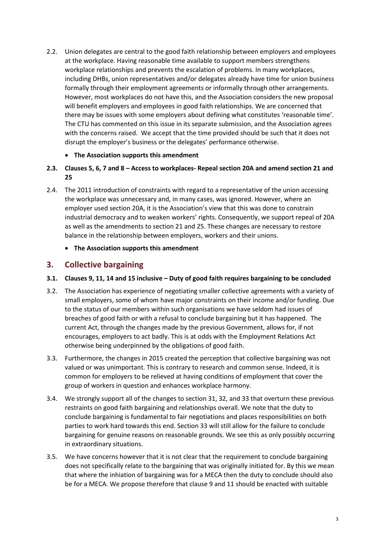2.2. Union delegates are central to the good faith relationship between employers and employees at the workplace. Having reasonable time available to support members strengthens workplace relationships and prevents the escalation of problems. In many workplaces, including DHBs, union representatives and/or delegates already have time for union business formally through their employment agreements or informally through other arrangements. However, most workplaces do not have this, and the Association considers the new proposal will benefit employers and employees in good faith relationships. We are concerned that there may be issues with some employers about defining what constitutes 'reasonable time'. The CTU has commented on this issue in its separate submission, and the Association agrees with the concerns raised. We accept that the time provided should be such that it does not disrupt the employer's business or the delegates' performance otherwise.

## • **The Association supports this amendment**

- 2.3. Clauses 5, 6, 7 and 8 Access to workplaces- Repeal section 20A and amend section 21 and **25**
- 2.4. The 2011 introduction of constraints with regard to a representative of the union accessing the workplace was unnecessary and, in many cases, was ignored. However, where an employer used section 20A, it is the Association's view that this was done to constrain industrial democracy and to weaken workers' rights. Consequently, we support repeal of 20A as well as the amendments to section 21 and 25. These changes are necessary to restore balance in the relationship between employers, workers and their unions.
	- **The Association supports this amendment**

# **3. Collective bargaining**

- **3.1. Clauses 9, 11, 14 and 15 inclusive – Duty of good faith requires bargaining to be concluded**
- 3.2. The Association has experience of negotiating smaller collective agreements with a variety of small employers, some of whom have major constraints on their income and/or funding. Due to the status of our members within such organisations we have seldom had issues of breaches of good faith or with a refusal to conclude bargaining but it has happened. The current Act, through the changes made by the previous Government, allows for, if not encourages, employers to act badly. This is at odds with the Employment Relations Act otherwise being underpinned by the obligations of good faith.
- 3.3. Furthermore, the changes in 2015 created the perception that collective bargaining was not valued or was unimportant. This is contrary to research and common sense. Indeed, it is common for employers to be relieved at having conditions of employment that cover the group of workers in question and enhances workplace harmony.
- 3.4. We strongly support all of the changes to section 31, 32, and 33 that overturn these previous restraints on good faith bargaining and relationships overall. We note that the duty to conclude bargaining is fundamental to fair negotiations and places responsibilities on both parties to work hard towards this end. Section 33 will still allow for the failure to conclude bargaining for genuine reasons on reasonable grounds. We see this as only possibly occurring in extraordinary situations.
- 3.5. We have concerns however that it is not clear that the requirement to conclude bargaining does not specifically relate to the bargaining that was originally initiated for. By this we mean that where the inhiation of bargaining was for a MECA then the duty to conclude should also be for a MECA. We propose therefore that clause 9 and 11 should be enacted with suitable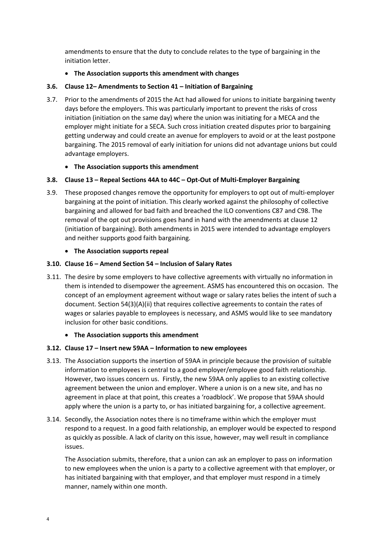amendments to ensure that the duty to conclude relates to the type of bargaining in the initiation letter.

## • **The Association supports this amendment with changes**

## **3.6. Clause 12– Amendments to Section 41 – Initiation of Bargaining**

3.7. Prior to the amendments of 2015 the Act had allowed for unions to initiate bargaining twenty days before the employers. This was particularly important to prevent the risks of cross initiation (initiation on the same day) where the union was initiating for a MECA and the employer might initiate for a SECA. Such cross initiation created disputes prior to bargaining getting underway and could create an avenue for employers to avoid or at the least postpone bargaining. The 2015 removal of early initiation for unions did not advantage unions but could advantage employers.

## • **The Association supports this amendment**

## **3.8. Clause 13 – Repeal Sections 44A to 44C – Opt-Out of Multi-Employer Bargaining**

3.9. These proposed changes remove the opportunity for employers to opt out of multi-employer bargaining at the point of initiation. This clearly worked against the philosophy of collective bargaining and allowed for bad faith and breached the ILO conventions C87 and C98. The removal of the opt out provisions goes hand in hand with the amendments at clause 12 (initiation of bargaining). Both amendments in 2015 were intended to advantage employers and neither supports good faith bargaining.

## • **The Association supports repeal**

## **3.10. Clause 16 – Amend Section 54 – Inclusion of Salary Rates**

3.11. The desire by some employers to have collective agreements with virtually no information in them is intended to disempower the agreement. ASMS has encountered this on occasion. The concept of an employment agreement without wage or salary rates belies the intent of such a document. Section 54(3)(A)(ii) that requires collective agreements to contain the rates of wages or salaries payable to employees is necessary, and ASMS would like to see mandatory inclusion for other basic conditions.

### • **The Association supports this amendment**

### **3.12. Clause 17 – Insert new 59AA – Information to new employees**

- 3.13. The Association supports the insertion of 59AA in principle because the provision of suitable information to employees is central to a good employer/employee good faith relationship. However, two issues concern us. Firstly, the new 59AA only applies to an existing collective agreement between the union and employer. Where a union is on a new site, and has no agreement in place at that point, this creates a 'roadblock'. We propose that 59AA should apply where the union is a party to, or has initiated bargaining for, a collective agreement.
- 3.14. Secondly, the Association notes there is no timeframe within which the employer must respond to a request. In a good faith relationship, an employer would be expected to respond as quickly as possible. A lack of clarity on this issue, however, may well result in compliance issues.

The Association submits, therefore, that a union can ask an employer to pass on information to new employees when the union is a party to a collective agreement with that employer, or has initiated bargaining with that employer, and that employer must respond in a timely manner, namely within one month.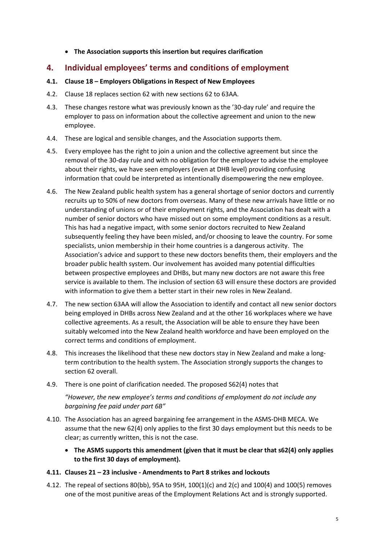## • **The Association supports this insertion but requires clarification**

## **4. Individual employees' terms and conditions of employment**

- **4.1. Clause 18 – Employers Obligations in Respect of New Employees**
- 4.2. Clause 18 replaces section 62 with new sections 62 to 63AA.
- 4.3. These changes restore what was previously known as the '30-day rule' and require the employer to pass on information about the collective agreement and union to the new employee.
- 4.4. These are logical and sensible changes, and the Association supports them.
- 4.5. Every employee has the right to join a union and the collective agreement but since the removal of the 30-day rule and with no obligation for the employer to advise the employee about their rights, we have seen employers (even at DHB level) providing confusing information that could be interpreted as intentionally disempowering the new employee.
- 4.6. The New Zealand public health system has a general shortage of senior doctors and currently recruits up to 50% of new doctors from overseas. Many of these new arrivals have little or no understanding of unions or of their employment rights, and the Association has dealt with a number of senior doctors who have missed out on some employment conditions as a result. This has had a negative impact, with some senior doctors recruited to New Zealand subsequently feeling they have been misled, and/or choosing to leave the country. For some specialists, union membership in their home countries is a dangerous activity. The Association's advice and support to these new doctors benefits them, their employers and the broader public health system. Our involvement has avoided many potential difficulties between prospective employees and DHBs, but many new doctors are not aware this free service is available to them. The inclusion of section 63 will ensure these doctors are provided with information to give them a better start in their new roles in New Zealand.
- 4.7. The new section 63AA will allow the Association to identify and contact all new senior doctors being employed in DHBs across New Zealand and at the other 16 workplaces where we have collective agreements. As a result, the Association will be able to ensure they have been suitably welcomed into the New Zealand health workforce and have been employed on the correct terms and conditions of employment.
- 4.8. This increases the likelihood that these new doctors stay in New Zealand and make a longterm contribution to the health system. The Association strongly supports the changes to section 62 overall.
- 4.9. There is one point of clarification needed. The proposed S62(4) notes that *"However, the new employee's terms and conditions of employment do not include any bargaining fee paid under part 6B"*
- 4.10. The Association has an agreed bargaining fee arrangement in the ASMS-DHB MECA. We assume that the new 62(4) only applies to the first 30 days employment but this needs to be clear; as currently written, this is not the case.
	- **The ASMS supports this amendment (given that it must be clear that s62(4) only applies to the first 30 days of employment).**

## **4.11. Clauses 21 – 23 inclusive - Amendments to Part 8 strikes and lockouts**

4.12. The repeal of sections 80(bb), 95A to 95H, 100(1)(c) and 2(c) and 100(4) and 100(5) removes one of the most punitive areas of the Employment Relations Act and is strongly supported.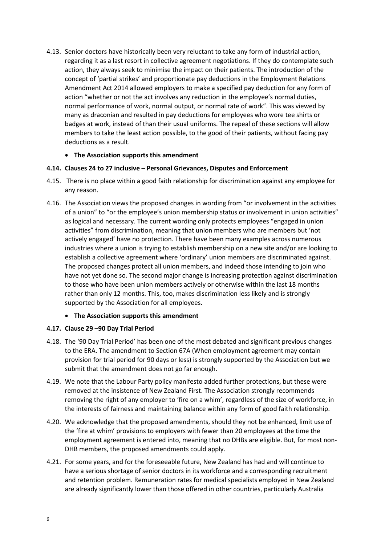4.13. Senior doctors have historically been very reluctant to take any form of industrial action, regarding it as a last resort in collective agreement negotiations. If they do contemplate such action, they always seek to minimise the impact on their patients. The introduction of the concept of 'partial strikes' and proportionate pay deductions in the Employment Relations Amendment Act 2014 allowed employers to make a specified pay deduction for any form of action "whether or not the act involves any reduction in the employee's normal duties, normal performance of work, normal output, or normal rate of work". This was viewed by many as draconian and resulted in pay deductions for employees who wore tee shirts or badges at work, instead of than their usual uniforms. The repeal of these sections will allow members to take the least action possible, to the good of their patients, without facing pay deductions as a result.

## • **The Association supports this amendment**

### **4.14. Clauses 24 to 27 inclusive – Personal Grievances, Disputes and Enforcement**

- 4.15. There is no place within a good faith relationship for discrimination against any employee for any reason.
- 4.16. The Association views the proposed changes in wording from "or involvement in the activities of a union" to "or the employee's union membership status or involvement in union activities" as logical and necessary. The current wording only protects employees "engaged in union activities" from discrimination, meaning that union members who are members but 'not actively engaged' have no protection. There have been many examples across numerous industries where a union is trying to establish membership on a new site and/or are looking to establish a collective agreement where 'ordinary' union members are discriminated against. The proposed changes protect all union members, and indeed those intending to join who have not yet done so. The second major change is increasing protection against discrimination to those who have been union members actively or otherwise within the last 18 months rather than only 12 months. This, too, makes discrimination less likely and is strongly supported by the Association for all employees.

### • **The Association supports this amendment**

### **4.17. Clause 29 –90 Day Trial Period**

- 4.18. The '90 Day Trial Period' has been one of the most debated and significant previous changes to the ERA. The amendment to Section 67A (When employment agreement may contain provision for trial period for 90 days or less) is strongly supported by the Association but we submit that the amendment does not go far enough.
- 4.19. We note that the Labour Party policy manifesto added further protections, but these were removed at the insistence of New Zealand First. The Association strongly recommends removing the right of any employer to 'fire on a whim', regardless of the size of workforce, in the interests of fairness and maintaining balance within any form of good faith relationship.
- 4.20. We acknowledge that the proposed amendments, should they not be enhanced, limit use of the 'fire at whim' provisions to employers with fewer than 20 employees at the time the employment agreement is entered into, meaning that no DHBs are eligible. But, for most non-DHB members, the proposed amendments could apply.
- 4.21. For some years, and for the foreseeable future, New Zealand has had and will continue to have a serious shortage of senior doctors in its workforce and a corresponding recruitment and retention problem. Remuneration rates for medical specialists employed in New Zealand are already significantly lower than those offered in other countries, particularly Australia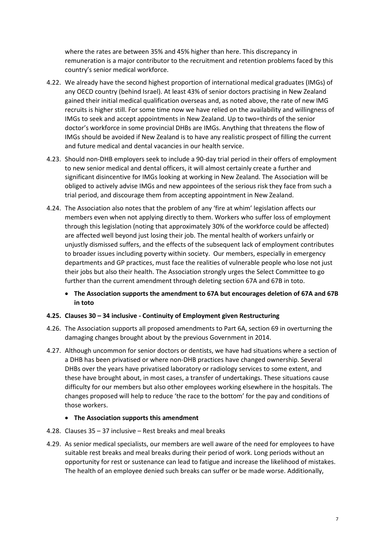where the rates are between 35% and 45% higher than here. This discrepancy in remuneration is a major contributor to the recruitment and retention problems faced by this country's senior medical workforce.

- 4.22. We already have the second highest proportion of international medical graduates (IMGs) of any OECD country (behind Israel). At least 43% of senior doctors practising in New Zealand gained their initial medical qualification overseas and, as noted above, the rate of new IMG recruits is higher still. For some time now we have relied on the availability and willingness of IMGs to seek and accept appointments in New Zealand. Up to two=thirds of the senior doctor's workforce in some provincial DHBs are IMGs. Anything that threatens the flow of IMGs should be avoided if New Zealand is to have any realistic prospect of filling the current and future medical and dental vacancies in our health service.
- 4.23. Should non-DHB employers seek to include a 90-day trial period in their offers of employment to new senior medical and dental officers, it will almost certainly create a further and significant disincentive for IMGs looking at working in New Zealand. The Association will be obliged to actively advise IMGs and new appointees of the serious risk they face from such a trial period, and discourage them from accepting appointment in New Zealand.
- 4.24. The Association also notes that the problem of any 'fire at whim' legislation affects our members even when not applying directly to them. Workers who suffer loss of employment through this legislation (noting that approximately 30% of the workforce could be affected) are affected well beyond just losing their job. The mental health of workers unfairly or unjustly dismissed suffers, and the effects of the subsequent lack of employment contributes to broader issues including poverty within society. Our members, especially in emergency departments and GP practices, must face the realities of vulnerable people who lose not just their jobs but also their health. The Association strongly urges the Select Committee to go further than the current amendment through deleting section 67A and 67B in toto.
	- **The Association supports the amendment to 67A but encourages deletion of 67A and 67B in toto**

### **4.25. Clauses 30 – 34 inclusive - Continuity of Employment given Restructuring**

- 4.26. The Association supports all proposed amendments to Part 6A, section 69 in overturning the damaging changes brought about by the previous Government in 2014.
- 4.27. Although uncommon for senior doctors or dentists, we have had situations where a section of a DHB has been privatised or where non-DHB practices have changed ownership. Several DHBs over the years have privatised laboratory or radiology services to some extent, and these have brought about, in most cases, a transfer of undertakings. These situations cause difficulty for our members but also other employees working elsewhere in the hospitals. The changes proposed will help to reduce 'the race to the bottom' for the pay and conditions of those workers.

### • **The Association supports this amendment**

- 4.28. Clauses 35 37 inclusive Rest breaks and meal breaks
- 4.29. As senior medical specialists, our members are well aware of the need for employees to have suitable rest breaks and meal breaks during their period of work. Long periods without an opportunity for rest or sustenance can lead to fatigue and increase the likelihood of mistakes. The health of an employee denied such breaks can suffer or be made worse. Additionally,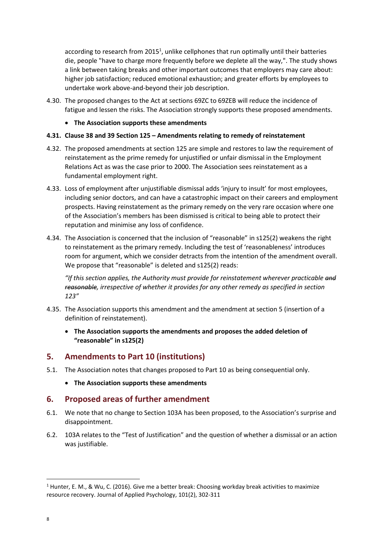according to research from 2015<sup>1</sup>, unlike cellphones that run optimally until their batteries die, people "have to charge more frequently before we deplete all the way,". The study shows a link between taking breaks and other important outcomes that employers may care about: higher job satisfaction; reduced emotional exhaustion; and greater efforts by employees to undertake work above-and-beyond their job description.

4.30. The proposed changes to the Act at sections 69ZC to 69ZEB will reduce the incidence of fatigue and lessen the risks. The Association strongly supports these proposed amendments.

## • **The Association supports these amendments**

## **4.31. Clause 38 and 39 Section 125 – Amendments relating to remedy of reinstatement**

- 4.32. The proposed amendments at section 125 are simple and restores to law the requirement of reinstatement as the prime remedy for unjustified or unfair dismissal in the Employment Relations Act as was the case prior to 2000. The Association sees reinstatement as a fundamental employment right.
- 4.33. Loss of employment after unjustifiable dismissal adds 'injury to insult' for most employees, including senior doctors, and can have a catastrophic impact on their careers and employment prospects. Having reinstatement as the primary remedy on the very rare occasion where one of the Association's members has been dismissed is critical to being able to protect their reputation and minimise any loss of confidence.
- 4.34. The Association is concerned that the inclusion of "reasonable" in s125(2) weakens the right to reinstatement as the primary remedy. Including the test of 'reasonableness' introduces room for argument, which we consider detracts from the intention of the amendment overall. We propose that "reasonable" is deleted and s125(2) reads:

*"If this section applies, the Authority must provide for reinstatement wherever practicable and reasonable, irrespective of whether it provides for any other remedy as specified in section 123"*

- 4.35. The Association supports this amendment and the amendment at section 5 (insertion of a definition of reinstatement).
	- **The Association supports the amendments and proposes the added deletion of "reasonable" in s125(2)**

# **5. Amendments to Part 10 (institutions)**

- 5.1. The Association notes that changes proposed to Part 10 as being consequential only.
	- **The Association supports these amendments**

## **6. Proposed areas of further amendment**

- 6.1. We note that no change to Section 103A has been proposed, to the Association's surprise and disappointment.
- 6.2. 103A relates to the "Test of Justification" and the question of whether a dismissal or an action was justifiable.

 $\overline{\phantom{a}}$ 

<sup>&</sup>lt;sup>1</sup> Hunter, E. M., & Wu, C. (2016). Give me a better break: Choosing workday break activities to maximize resource recovery. Journal of Applied Psychology, 101(2), 302-311